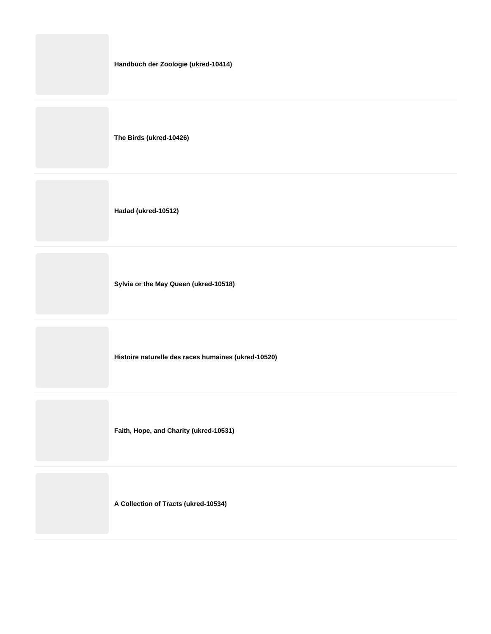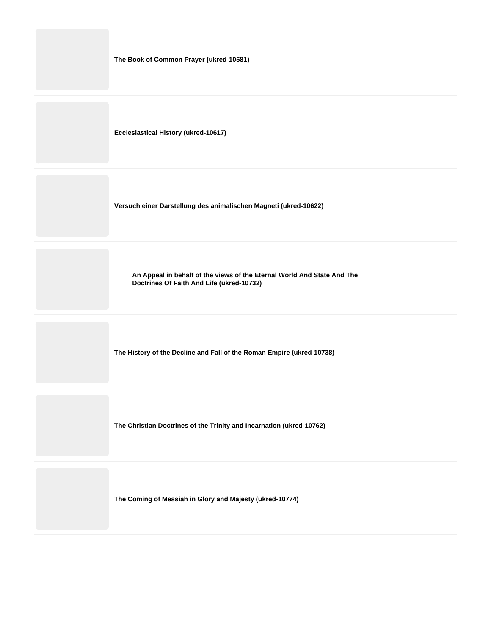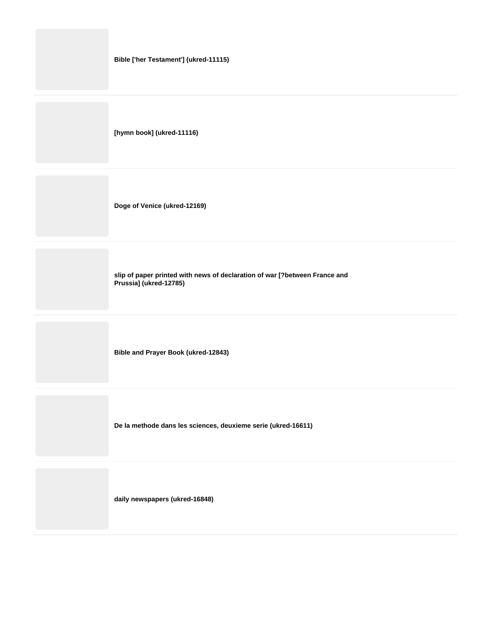| Bible ['her Testament'] (ukred-11115)                                                                |
|------------------------------------------------------------------------------------------------------|
| [hymn book] (ukred-11116)                                                                            |
| Doge of Venice (ukred-12169)                                                                         |
| slip of paper printed with news of declaration of war [?between France and<br>Prussia] (ukred-12785) |
| <b>Bible and Prayer Book (ukred-12843)</b>                                                           |
| De la methode dans les sciences, deuxieme serie (ukred-16611)                                        |
| daily newspapers (ukred-16848)                                                                       |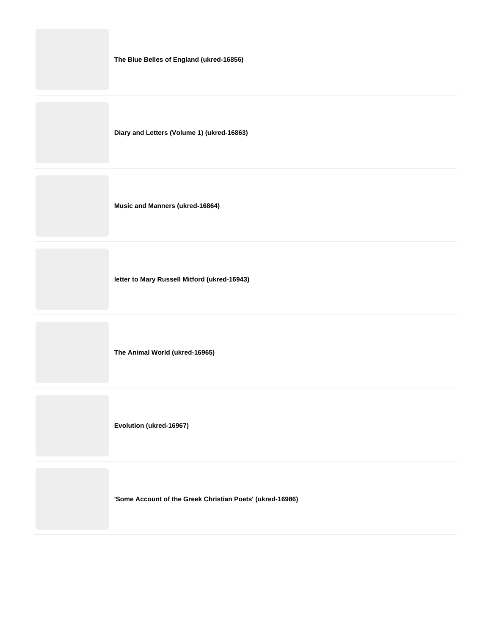|  |  |  | The Blue Belles of England (ukred-16856) |
|--|--|--|------------------------------------------|
|--|--|--|------------------------------------------|

**Diary and Letters (Volume 1) (ukred-16863)**

**Music and Manners (ukred-16864)**

**letter to Mary Russell Mitford (ukred-16943)**

**The Animal World (ukred-16965)**

**Evolution (ukred-16967)**

**'Some Account of the Greek Christian Poets' (ukred-16986)**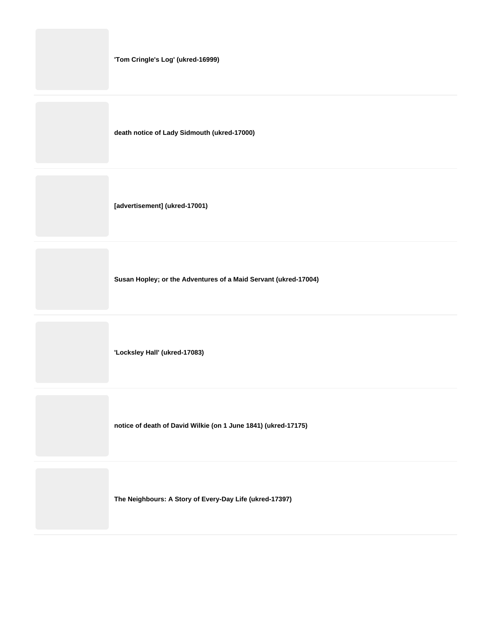|  |  |  |  | 'Tom Cringle's Log' (ukred-16999) |
|--|--|--|--|-----------------------------------|
|--|--|--|--|-----------------------------------|

**death notice of Lady Sidmouth (ukred-17000)**

**[advertisement] (ukred-17001)**

**Susan Hopley; or the Adventures of a Maid Servant (ukred-17004)**

**'Locksley Hall' (ukred-17083)**

**notice of death of David Wilkie (on 1 June 1841) (ukred-17175)**

**The Neighbours: A Story of Every-Day Life (ukred-17397)**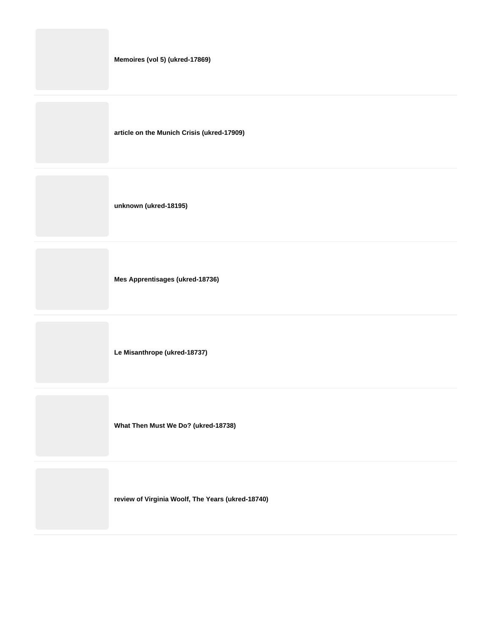**article on the Munich Crisis (ukred-17909)**

**unknown (ukred-18195)**

**Mes Apprentisages (ukred-18736)**

**Le Misanthrope (ukred-18737)**

**What Then Must We Do? (ukred-18738)**

**review of Virginia Woolf, The Years (ukred-18740)**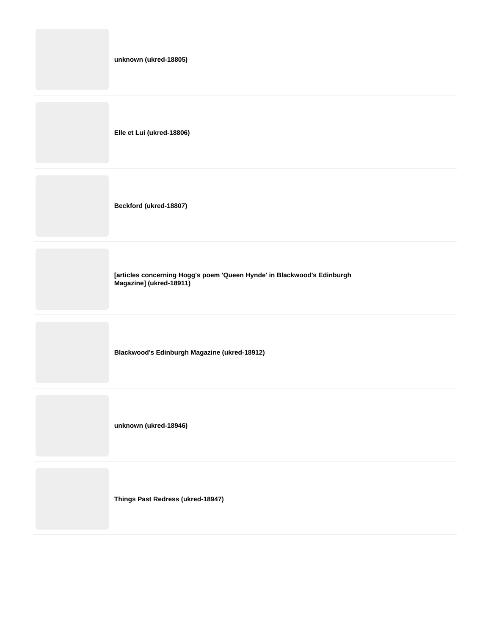| unknown (ukred-18805)                                                                              |
|----------------------------------------------------------------------------------------------------|
| Elle et Lui (ukred-18806)                                                                          |
| Beckford (ukred-18807)                                                                             |
| [articles concerning Hogg's poem 'Queen Hynde' in Blackwood's Edinburgh<br>Magazine] (ukred-18911) |
| Blackwood's Edinburgh Magazine (ukred-18912)                                                       |
| unknown (ukred-18946)                                                                              |
|                                                                                                    |

**Things Past Redress (ukred-18947)**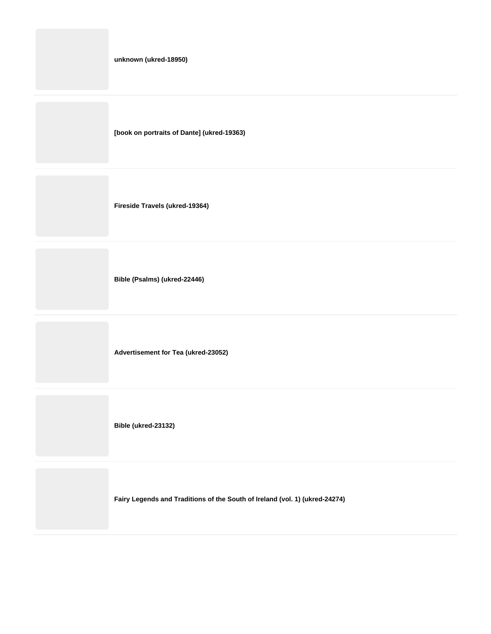|  | unknown (ukred-18950) |
|--|-----------------------|
|--|-----------------------|

**[book on portraits of Dante] (ukred-19363)**

**Fireside Travels (ukred-19364)**

**Bible (Psalms) (ukred-22446)**

**Advertisement for Tea (ukred-23052)**

**Bible (ukred-23132)**

**Fairy Legends and Traditions of the South of Ireland (vol. 1) (ukred-24274)**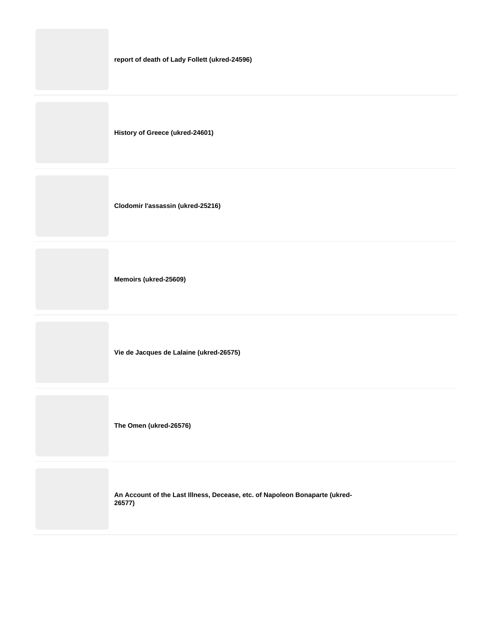|  | report of death of Lady Follett (ukred-24596) |  |
|--|-----------------------------------------------|--|
|--|-----------------------------------------------|--|

**History of Greece (ukred-24601)**

**Clodomir l'assassin (ukred-25216)**

**Memoirs (ukred-25609)**

**Vie de Jacques de Lalaine (ukred-26575)**

**The Omen (ukred-26576)**

**An Account of the Last Illness, Decease, etc. of Napoleon Bonaparte (ukred-26577)**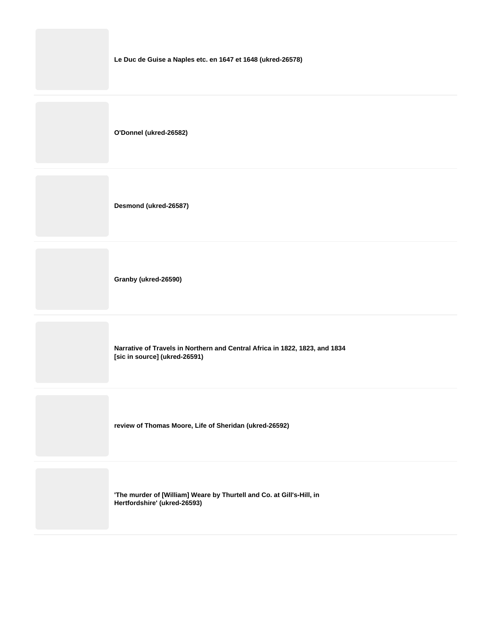

**'The murder of [William] Weare by Thurtell and Co. at Gill's-Hill, in Hertfordshire' (ukred-26593)**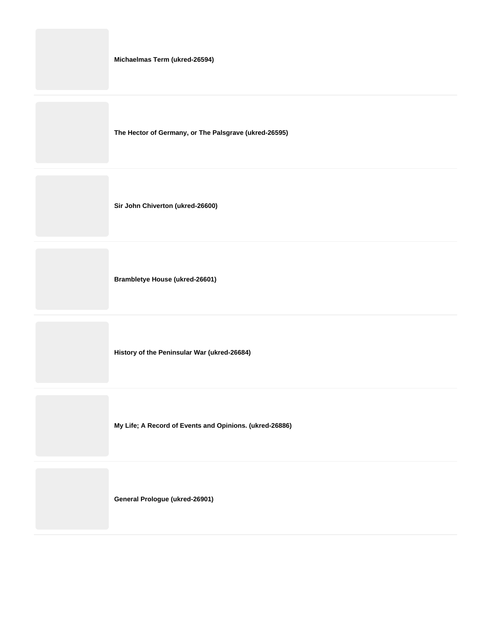**The Hector of Germany, or The Palsgrave (ukred-26595)**

**Sir John Chiverton (ukred-26600)**

**Brambletye House (ukred-26601)**

**History of the Peninsular War (ukred-26684)**

**My Life; A Record of Events and Opinions. (ukred-26886)**

**General Prologue (ukred-26901)**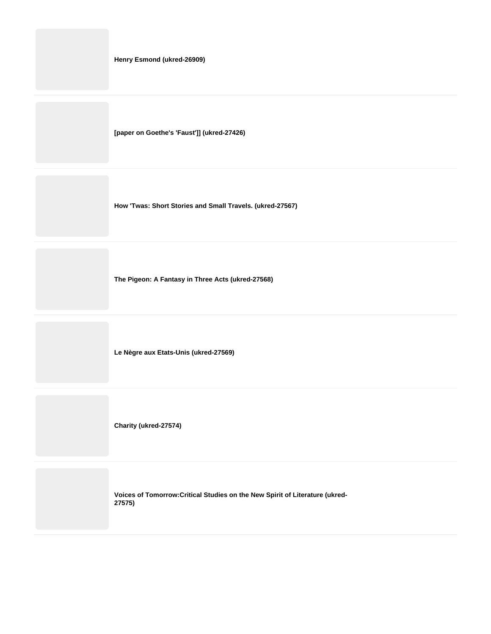**[paper on Goethe's 'Faust']] (ukred-27426)**

**How 'Twas: Short Stories and Small Travels. (ukred-27567)**

**The Pigeon: A Fantasy in Three Acts (ukred-27568)**

**Le Nègre aux Etats-Unis (ukred-27569)**

**Charity (ukred-27574)**

**Voices of Tomorrow:Critical Studies on the New Spirit of Literature (ukred-27575)**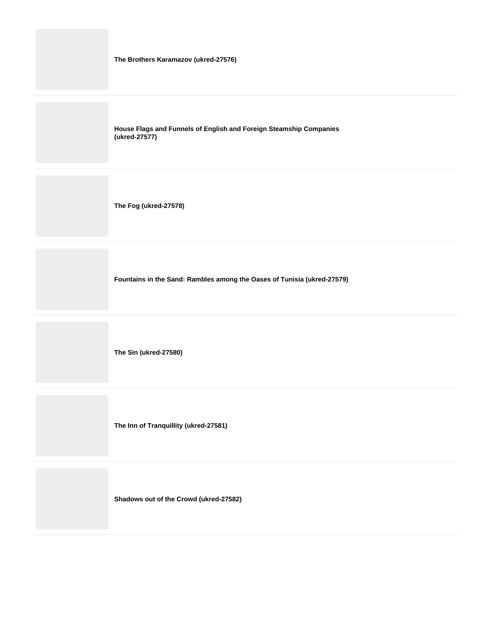| The Brothers Karamazov (ukred-27576)                                                |
|-------------------------------------------------------------------------------------|
| House Flags and Funnels of English and Foreign Steamship Companies<br>(ukred-27577) |
| The Fog (ukred-27578)                                                               |
| Fountains in the Sand: Rambles among the Oases of Tunisia (ukred-27579)             |

**The Sin (ukred-27580)**

**The Inn of Tranquillity (ukred-27581)**

**Shadows out of the Crowd (ukred-27582)**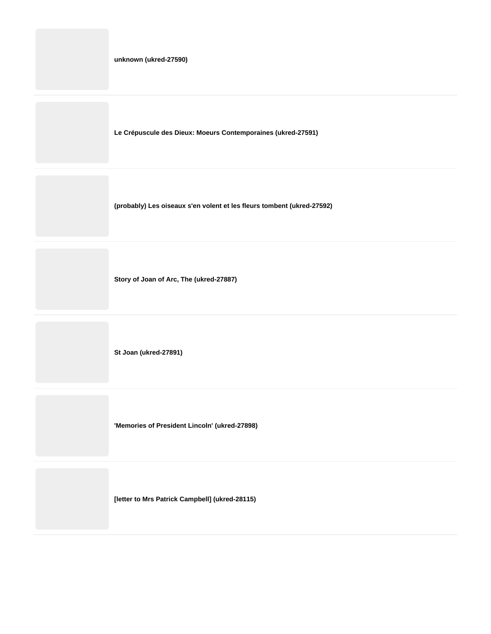|  | unknown (ukred-27590) |  |
|--|-----------------------|--|
|--|-----------------------|--|

**Le Crépuscule des Dieux: Moeurs Contemporaines (ukred-27591)**

**(probably) Les oiseaux s'en volent et les fleurs tombent (ukred-27592)**

**Story of Joan of Arc, The (ukred-27887)**

**St Joan (ukred-27891)**

**'Memories of President Lincoln' (ukred-27898)**

**[letter to Mrs Patrick Campbell] (ukred-28115)**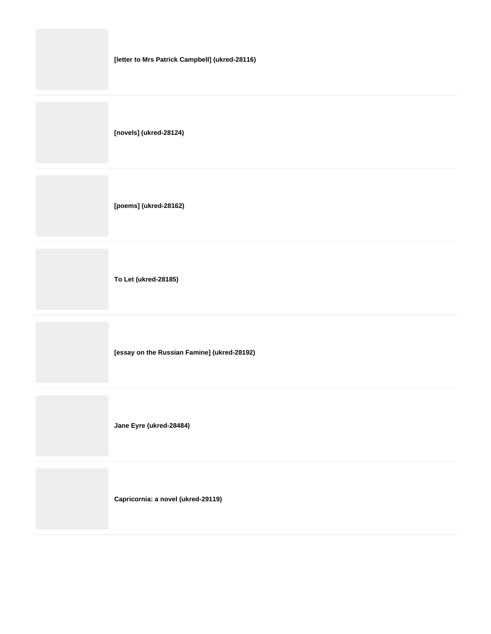|  |  |  |  | [letter to Mrs Patrick Campbell] (ukred-28116) |
|--|--|--|--|------------------------------------------------|
|--|--|--|--|------------------------------------------------|

**[novels] (ukred-28124)**

**[poems] (ukred-28162)**

**To Let (ukred-28185)**

**[essay on the Russian Famine] (ukred-28192)**

**Jane Eyre (ukred-28484)**

**Capricornia: a novel (ukred-29119)**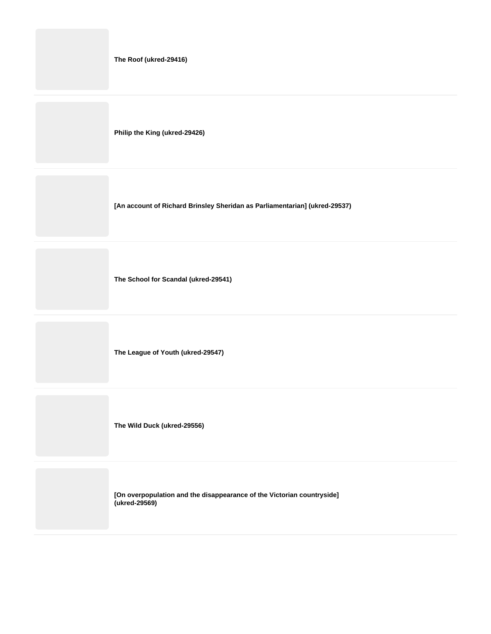|  | The Roof (ukred-29416) |
|--|------------------------|
|--|------------------------|

**Philip the King (ukred-29426)**

**[An account of Richard Brinsley Sheridan as Parliamentarian] (ukred-29537)**

**The School for Scandal (ukred-29541)**

**The League of Youth (ukred-29547)**

**The Wild Duck (ukred-29556)**

**[On overpopulation and the disappearance of the Victorian countryside] (ukred-29569)**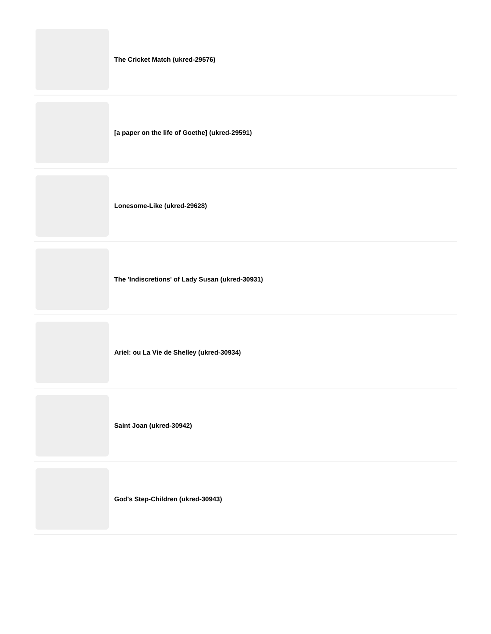|  |  |  | The Cricket Match (ukred-29576) |  |
|--|--|--|---------------------------------|--|
|--|--|--|---------------------------------|--|

**[a paper on the life of Goethe] (ukred-29591)**

**Lonesome-Like (ukred-29628)**

**The 'Indiscretions' of Lady Susan (ukred-30931)**

**Ariel: ou La Vie de Shelley (ukred-30934)**

**Saint Joan (ukred-30942)**

**God's Step-Children (ukred-30943)**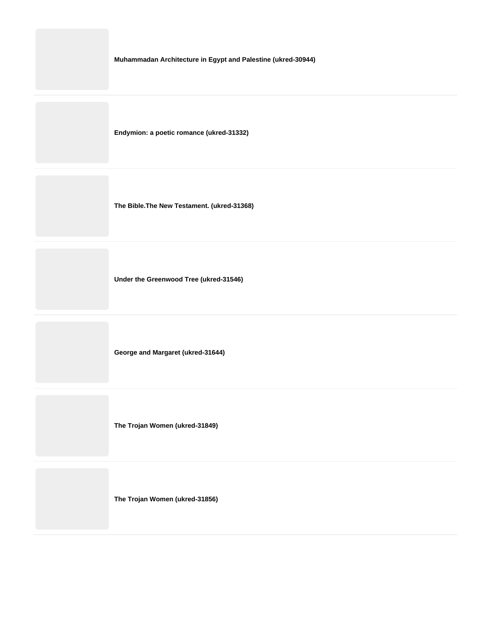**Muhammadan Architecture in Egypt and Palestine (ukred-30944)**

**Endymion: a poetic romance (ukred-31332)**

**The Bible.The New Testament. (ukred-31368)**

**Under the Greenwood Tree (ukred-31546)**

**George and Margaret (ukred-31644)**

**The Trojan Women (ukred-31849)**

**The Trojan Women (ukred-31856)**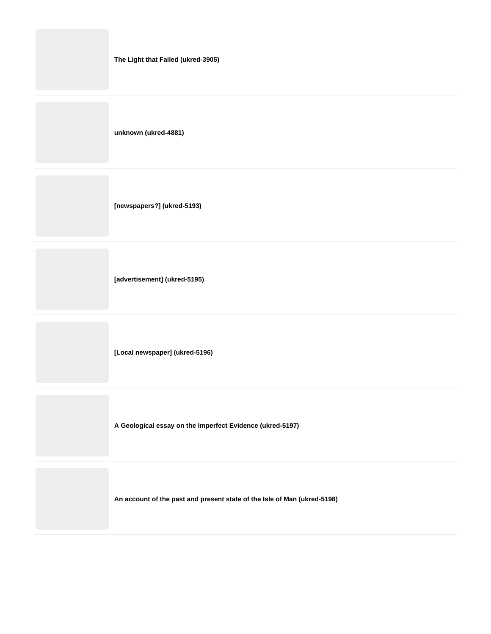| The Light that Failed (ukred-3905) |  |
|------------------------------------|--|
|------------------------------------|--|

**unknown (ukred-4881)**

**[newspapers?] (ukred-5193)**

**[advertisement] (ukred-5195)**

**[Local newspaper] (ukred-5196)**

**A Geological essay on the Imperfect Evidence (ukred-5197)**

**An account of the past and present state of the Isle of Man (ukred-5198)**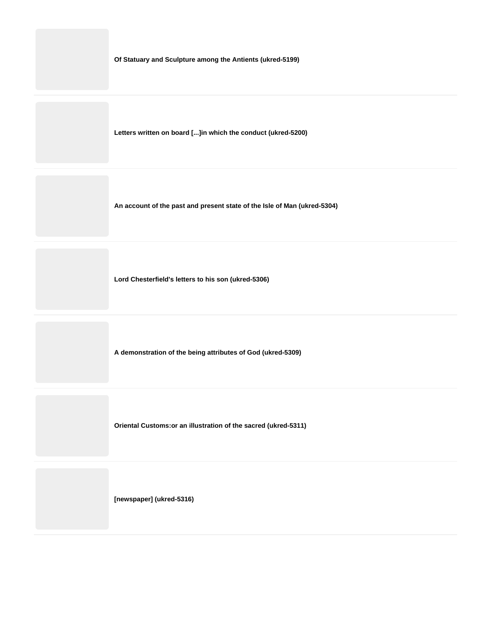**Of Statuary and Sculpture among the Antients (ukred-5199)**

**Letters written on board [...]in which the conduct (ukred-5200)**

**An account of the past and present state of the Isle of Man (ukred-5304)**

**Lord Chesterfield's letters to his son (ukred-5306)**

**A demonstration of the being attributes of God (ukred-5309)**

**Oriental Customs:or an illustration of the sacred (ukred-5311)**

**[newspaper] (ukred-5316)**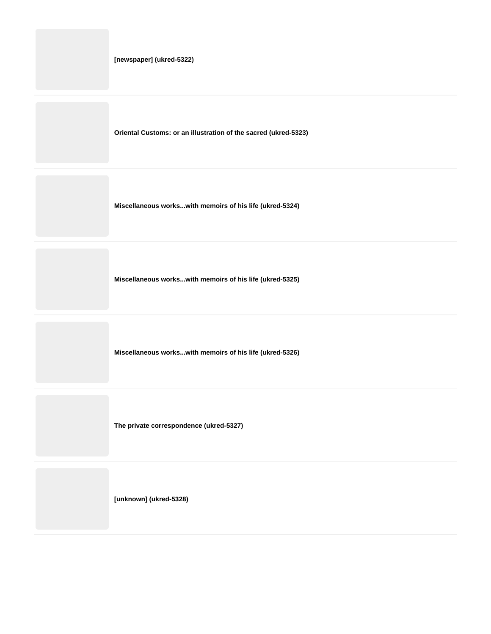**Oriental Customs: or an illustration of the sacred (ukred-5323)**

**Miscellaneous works...with memoirs of his life (ukred-5324)**

**Miscellaneous works...with memoirs of his life (ukred-5325)**

**Miscellaneous works...with memoirs of his life (ukred-5326)**

**The private correspondence (ukred-5327)**

**[unknown] (ukred-5328)**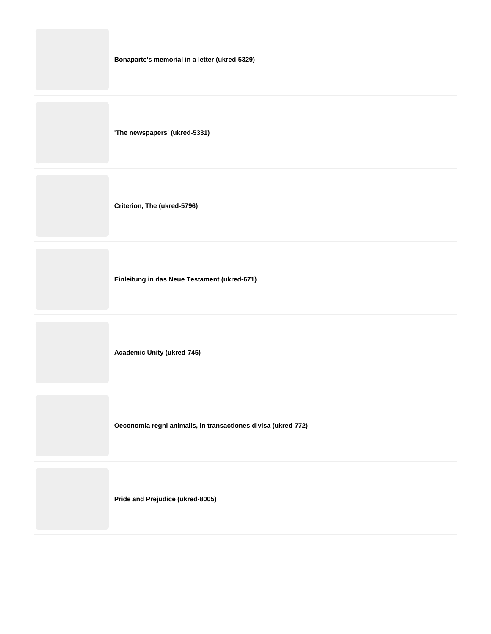|  |  |  |  | Bonaparte's memorial in a letter (ukred-5329) |
|--|--|--|--|-----------------------------------------------|
|--|--|--|--|-----------------------------------------------|

**'The newspapers' (ukred-5331)**

**Criterion, The (ukred-5796)**

**Einleitung in das Neue Testament (ukred-671)**

**Academic Unity (ukred-745)**

**Oeconomia regni animalis, in transactiones divisa (ukred-772)**

**Pride and Prejudice (ukred-8005)**